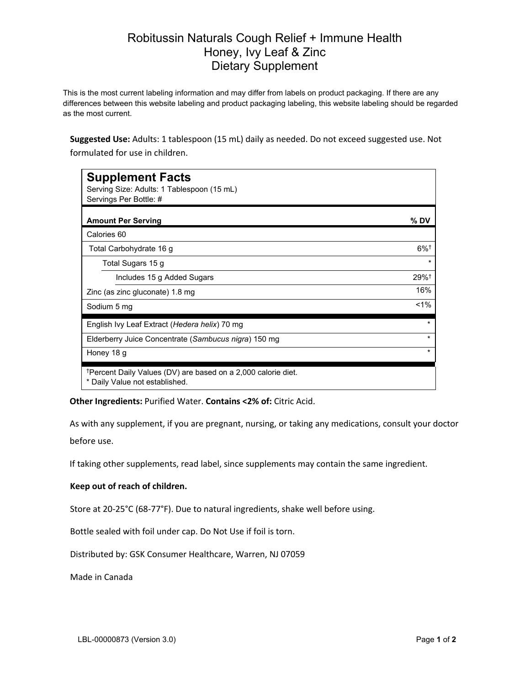## Robitussin Naturals Cough Relief + Immune Health Honey, Ivy Leaf & Zinc Dietary Supplement

This is the most current labeling information and may differ from labels on product packaging. If there are any differences between this website labeling and product packaging labeling, this website labeling should be regarded as the most current.

**Suggested Use:** Adults: 1 tablespoon (15 mL) daily as needed. Do not exceed suggested use. Not formulated for use in children.

| <b>Supplement Facts</b>                                                                                     |                    |
|-------------------------------------------------------------------------------------------------------------|--------------------|
| Serving Size: Adults: 1 Tablespoon (15 mL)<br>Servings Per Bottle: #                                        |                    |
|                                                                                                             |                    |
| <b>Amount Per Serving</b>                                                                                   | % DV               |
| Calories 60                                                                                                 |                    |
| Total Carbohydrate 16 g                                                                                     | $6\%$ <sup>†</sup> |
| Total Sugars 15 g                                                                                           | $\star$            |
| Includes 15 g Added Sugars                                                                                  | $29%$ <sup>†</sup> |
| Zinc (as zinc gluconate) 1.8 mg                                                                             | 16%                |
| Sodium 5 mg                                                                                                 | $1\%$              |
| English Ivy Leaf Extract (Hedera helix) 70 mg                                                               | $\star$            |
| Elderberry Juice Concentrate (Sambucus nigra) 150 mg                                                        | $\star$            |
| Honey 18 g                                                                                                  | $\star$            |
| <sup>†</sup> Percent Daily Values (DV) are based on a 2,000 calorie diet.<br>* Daily Value not established. |                    |

**Other Ingredients:** Purified Water. **Contains <2% of:** Citric Acid.

As with any supplement, if you are pregnant, nursing, or taking any medications, consult your doctor before use.

If taking other supplements, read label, since supplements may contain the same ingredient.

## **Keep out of reach of children.**

Store at 20-25°C (68-77°F). Due to natural ingredients, shake well before using.

Bottle sealed with foil under cap. Do Not Use if foil is torn.

Distributed by: GSK Consumer Healthcare, Warren, NJ 07059

Made in Canada